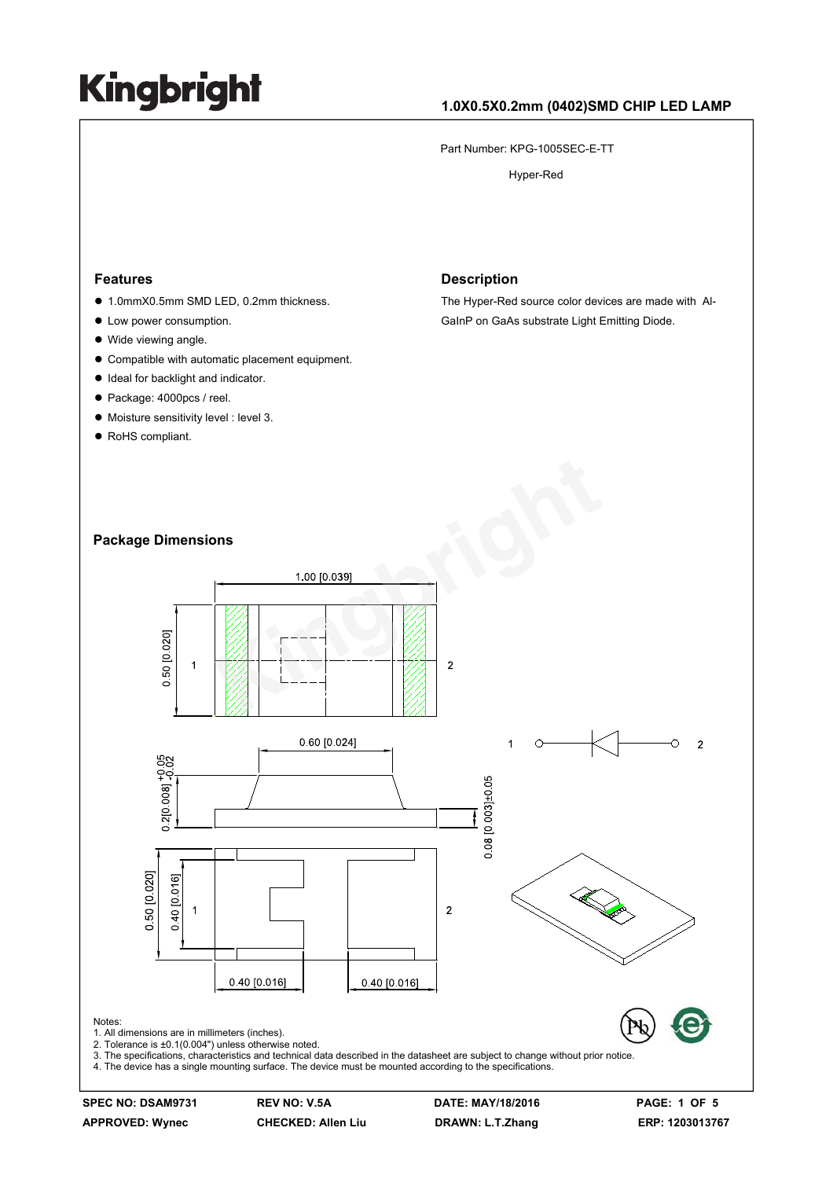## **1.0X0.5X0.2mm (0402)SMD CHIP LED LAMP**

Part Number: KPG-1005SEC-E-TT

Hyper-Red

#### **Features**

- 1.0mmX0.5mm SMD LED, 0.2mm thickness.
- $\bullet$  Low power consumption.
- Wide viewing angle.
- $\bullet$  Compatible with automatic placement equipment.
- $\bullet$  Ideal for backlight and indicator.
- Package: 4000pcs / reel.
- $\bullet$  Moisture sensitivity level : level 3.
- RoHS compliant.

#### **Description**

The Hyper-Red source color devices are made with Al-GaInP on GaAs substrate Light Emitting Diode.

### **Package Dimensions**



**SPEC NO: DSAM9731 REV NO: V.5A DATE: MAY/18/2016 PAGE: 1 OF 5**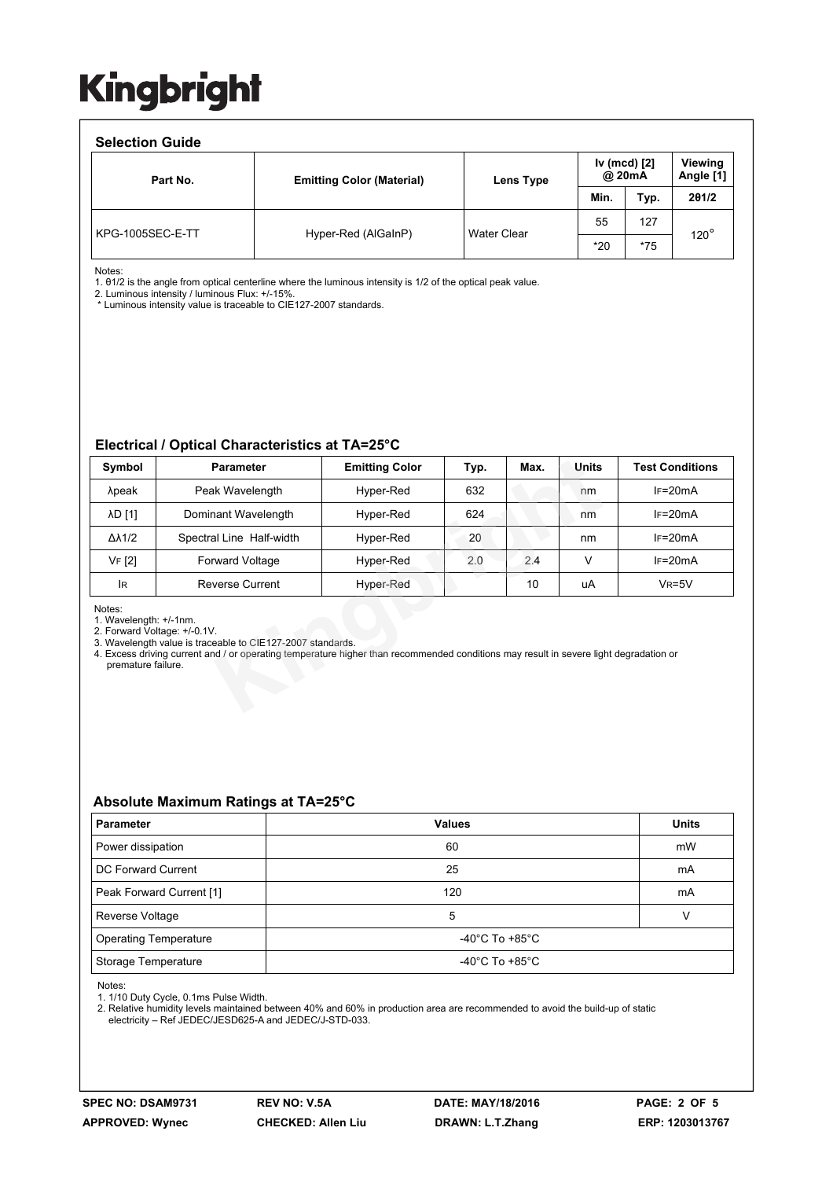### **Selection Guide**

| <b>OBIBUTION QUIDE</b> |                                  |                    |                        |       |                             |  |  |  |  |
|------------------------|----------------------------------|--------------------|------------------------|-------|-----------------------------|--|--|--|--|
| Part No.               | <b>Emitting Color (Material)</b> | Lens Type          | Iv (mcd) [2]<br>@ 20mA |       | <b>Viewing</b><br>Angle [1] |  |  |  |  |
|                        |                                  |                    | Min.                   | Typ.  | 201/2                       |  |  |  |  |
| KPG-1005SEC-E-TT       | Hyper-Red (AlGaInP)              | <b>Water Clear</b> | 55                     | 127   | $120^{\circ}$               |  |  |  |  |
|                        |                                  |                    | $*20$                  | $*75$ |                             |  |  |  |  |

Notes:

1. θ1/2 is the angle from optical centerline where the luminous intensity is 1/2 of the optical peak value.

2. Luminous intensity / luminous Flux: +/-15%.

\* Luminous intensity value is traceable to CIE127-2007 standards.

#### **Electrical / Optical Characteristics at TA=25°C**

| Symbol                                                                                                                                                                                                                                                                                        | <b>Parameter</b>         | <b>Emitting Color</b> | Typ. | Max. | <b>Units</b> | <b>Test Conditions</b> |  |  |  |
|-----------------------------------------------------------------------------------------------------------------------------------------------------------------------------------------------------------------------------------------------------------------------------------------------|--------------------------|-----------------------|------|------|--------------|------------------------|--|--|--|
| λpeak                                                                                                                                                                                                                                                                                         | Peak Wavelength          | Hyper-Red             | 632  |      | nm           | $IF=20mA$              |  |  |  |
| λD [1]                                                                                                                                                                                                                                                                                        | Dominant Wavelength      | Hyper-Red             | 624  |      | nm           | $IF=20mA$              |  |  |  |
| $\Delta\lambda$ 1/2                                                                                                                                                                                                                                                                           | Spectral Line Half-width | Hyper-Red             | 20   |      | nm           | $IF=20mA$              |  |  |  |
| VF [2]                                                                                                                                                                                                                                                                                        | <b>Forward Voltage</b>   | Hyper-Red             | 2.0  | 2.4  | v            | $IF=20mA$              |  |  |  |
| lR.                                                                                                                                                                                                                                                                                           | Reverse Current          | Hyper-Red             |      | 10   | uA           | $V_R = 5V$             |  |  |  |
| Notes:<br>1. Wavelength: +/-1nm.<br>2. Forward Voltage: +/-0.1V.<br>3. Wavelength value is traceable to CIE127-2007 standards.<br>4. Excess driving current and / or operating temperature higher than recommended conditions may result in severe light degradation or<br>premature failure. |                          |                       |      |      |              |                        |  |  |  |

## **Absolute Maximum Ratings at TA=25°C**

| <b>Parameter</b>             | <b>Values</b>                        | <b>Units</b> |  |  |
|------------------------------|--------------------------------------|--------------|--|--|
| Power dissipation            | 60                                   | mW           |  |  |
| DC Forward Current           | 25                                   | mA           |  |  |
| Peak Forward Current [1]     | 120                                  | mA           |  |  |
| Reverse Voltage              | 5                                    |              |  |  |
| <b>Operating Temperature</b> | -40°C To +85°C                       |              |  |  |
| Storage Temperature          | -40 $^{\circ}$ C To +85 $^{\circ}$ C |              |  |  |

Notes:

1. 1/10 Duty Cycle, 0.1ms Pulse Width.

2. Relative humidity levels maintained between 40% and 60% in production area are recommended to avoid the build-up of static electricity – Ref JEDEC/JESD625-A and JEDEC/J-STD-033.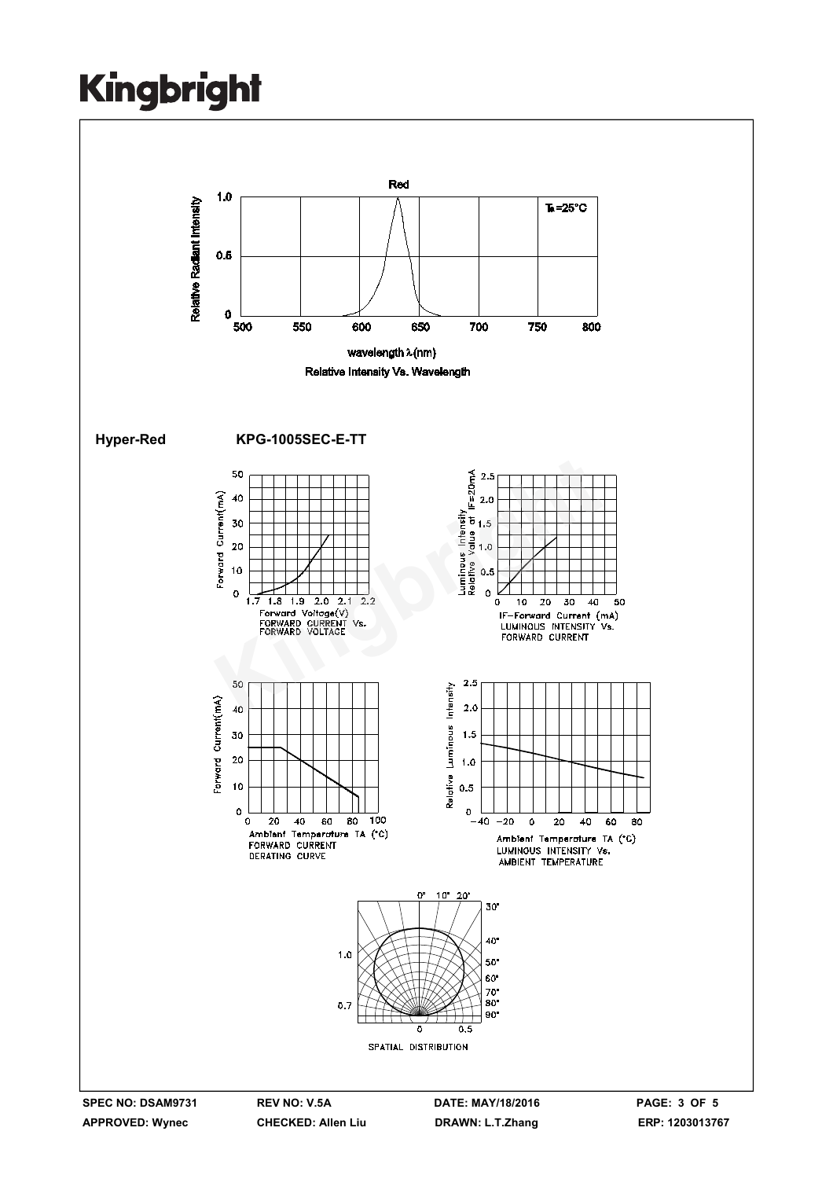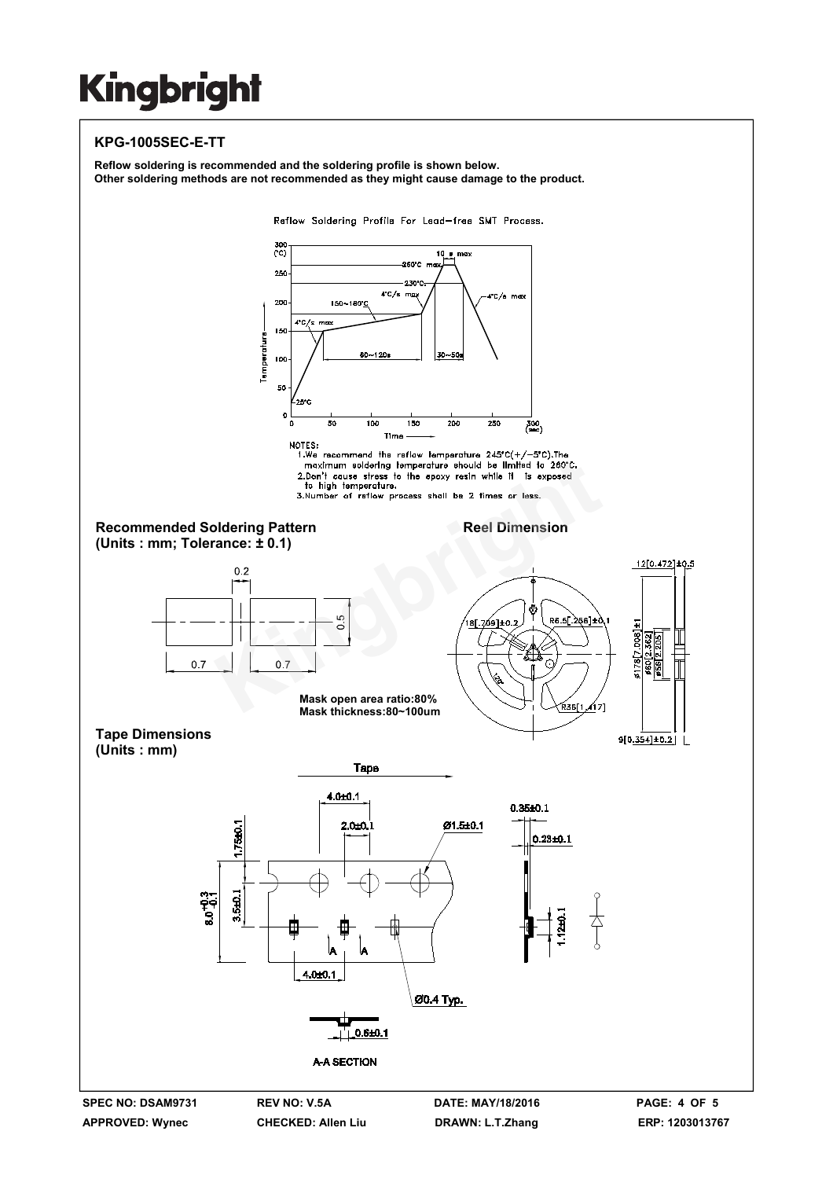## **KPG-1005SEC-E-TT**



A

 $\frac{1}{1}$  0.6±0.1

**A-A SECTION** 

۱д  $.0 + 0.1$ 

Ø0.4 Тур.